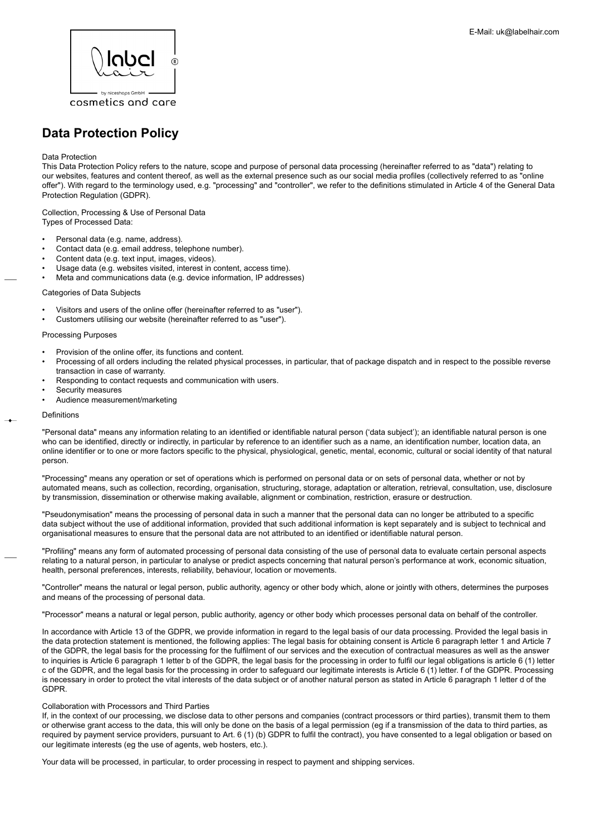<span id="page-0-0"></span>

## **Data Protection Policy**

## Data Protection

This Data Protection Policy refers to the nature, scope and purpose of personal data processing (hereinafter referred to as "data") relating to our websites, features and content thereof, as well as the external presence such as our social media profiles (collectively referred to as "online offer"). With regard to the terminology used, e.g. "processing" and "controller", we refer to the definitions stimulated in Article 4 of the General Data Protection Regulation (GDPR).

Collection, Processing & Use of Personal Data Types of Processed Data:

- Personal data (e.g. name, address).
- Contact data (e.g. email address, telephone number).
- Content data (e.g. text input, images, videos).
- Usage data (e.g. websites visited, interest in content, access time).
- Meta and communications data (e.g. device information, IP addresses)

## Categories of Data Subjects

- Visitors and users of the online offer (hereinafter referred to as "user").
- Customers utilising our website (hereinafter referred to as "user").

## Processing Purposes

- Provision of the online offer, its functions and content.
- Processing of all orders including the related physical processes, in particular, that of package dispatch and in respect to the possible reverse transaction in case of warranty.
- Responding to contact requests and communication with users.
- Security measures
- Audience measurement/marketing

### Definitions

"Personal data" means any information relating to an identified or identifiable natural person ('data subject'); an identifiable natural person is one who can be identified, directly or indirectly, in particular by reference to an identifier such as a name, an identification number, location data, an online identifier or to one or more factors specific to the physical, physiological, genetic, mental, economic, cultural or social identity of that natural person.

"Processing" means any operation or set of operations which is performed on personal data or on sets of personal data, whether or not by automated means, such as collection, recording, organisation, structuring, storage, adaptation or alteration, retrieval, consultation, use, disclosure by transmission, dissemination or otherwise making available, alignment or combination, restriction, erasure or destruction.

"Pseudonymisation" means the processing of personal data in such a manner that the personal data can no longer be attributed to a specific data subject without the use of additional information, provided that such additional information is kept separately and is subject to technical and organisational measures to ensure that the personal data are not attributed to an identified or identifiable natural person.

"Profiling" means any form of automated processing of personal data consisting of the use of personal data to evaluate certain personal aspects relating to a natural person, in particular to analyse or predict aspects concerning that natural person's performance at work, economic situation, health, personal preferences, interests, reliability, behaviour, location or movements.

"Controller" means the natural or legal person, public authority, agency or other body which, alone or jointly with others, determines the purposes and means of the processing of personal data.

"Processor" means a natural or legal person, public authority, agency or other body which processes personal data on behalf of the controller.

In accordance with Article 13 of the GDPR, we provide information in regard to the legal basis of our data processing. Provided the legal basis in the data protection statement is mentioned, the following applies: The legal basis for obtaining consent is Article 6 paragraph letter 1 and Article 7 of the GDPR, the legal basis for the processing for the fulfilment of our services and the execution of contractual measures as well as the answer to inquiries is Article 6 paragraph 1 letter b of the GDPR, the legal basis for the processing in order to fulfil our legal obligations is article 6 (1) letter c of the GDPR, and the legal basis for the processing in order to safeguard our legitimate interests is Article 6 (1) letter. f of the GDPR. Processing is necessary in order to protect the vital interests of the data subject or of another natural person as stated in Article 6 paragraph 1 letter d of the GDPR.

## Collaboration with Processors and Third Parties

If, in the context of our processing, we disclose data to other persons and companies (contract processors or third parties), transmit them to them or otherwise grant access to the data, this will only be done on the basis of a legal permission (eg if a transmission of the data to third parties, as required by payment service providers, pursuant to Art. 6 (1) (b) GDPR to fulfil the contract), you have consented to a legal obligation or based on our legitimate interests (eg the use of agents, web hosters, etc.).

Your data will be processed, in particular, to order processing in respect to payment and shipping services.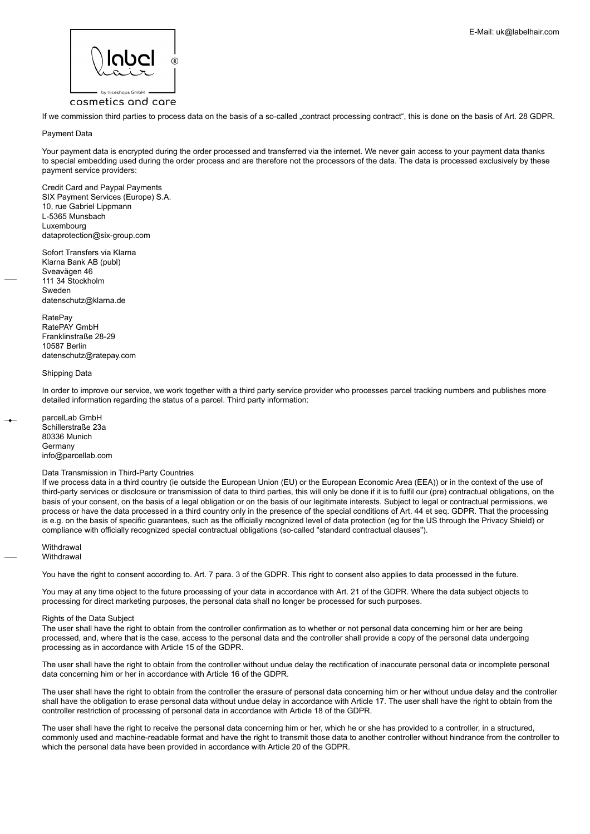

If we commission third parties to process data on the basis of a so-called "contract processing contract", this is done on the basis of Art. 28 GDPR.

## Payment Data

Your payment data is encrypted during the order processed and transferred via the internet. We never gain access to your payment data thanks to special embedding used during the order process and are therefore not the processors of the data. The data is processed exclusively by these payment service providers:

Credit Card and Paypal Payments SIX Payment Services (Europe) S.A. 10, rue Gabriel Lippmann L-5365 Munsbach Luxembourg dataprotection@six-group.com

Sofort Transfers via Klarna Klarna Bank AB (publ) Sveavägen 46 111 34 Stockholm Sweden datenschutz@klarna.de

RatePay RatePAY GmbH Franklinstraße 28-29 10587 Berlin datenschutz@ratepay.com

## Shipping Data

In order to improve our service, we work together with a third party service provider who processes parcel tracking numbers and publishes more detailed information regarding the status of a parcel. Third party information:

parcelLab GmbH Schillerstraße 23a 80336 Munich **Germany** info@parcellab.com

## Data Transmission in Third-Party Countries

If we process data in a third country (ie outside the European Union (EU) or the European Economic Area (EEA)) or in the context of the use of third-party services or disclosure or transmission of data to third parties, this will only be done if it is to fulfil our (pre) contractual obligations, on the basis of your consent, on the basis of a legal obligation or on the basis of our legitimate interests. Subject to legal or contractual permissions, we process or have the data processed in a third country only in the presence of the special conditions of Art. 44 et seq. GDPR. That the processing is e.g. on the basis of specific guarantees, such as the officially recognized level of data protection (eg for the US through the Privacy Shield) or compliance with officially recognized special contractual obligations (so-called "standard contractual clauses").

**Withdrawal Withdrawal** 

You have the right to consent according to. Art. 7 para. 3 of the GDPR. This right to consent also applies to data processed in the future.

You may at any time object to the future processing of your data in accordance with Art. 21 of the GDPR. Where the data subject objects to processing for direct marketing purposes, the personal data shall no longer be processed for such purposes.

## Rights of the Data Subject

The user shall have the right to obtain from the controller confirmation as to whether or not personal data concerning him or her are being processed, and, where that is the case, access to the personal data and the controller shall provide a copy of the personal data undergoing processing as in accordance with Article 15 of the GDPR.

The user shall have the right to obtain from the controller without undue delay the rectification of inaccurate personal data or incomplete personal data concerning him or her in accordance with Article 16 of the GDPR.

The user shall have the right to obtain from the controller the erasure of personal data concerning him or her without undue delay and the controller shall have the obligation to erase personal data without undue delay in accordance with Article 17. The user shall have the right to obtain from the controller restriction of processing of personal data in accordance with Article 18 of the GDPR.

The user shall have the right to receive the personal data concerning him or her, which he or she has provided to a controller, in a structured, commonly used and machine-readable format and have the right to transmit those data to another controller without hindrance from the controller to which the personal data have been provided in accordance with Article 20 of the GDPR.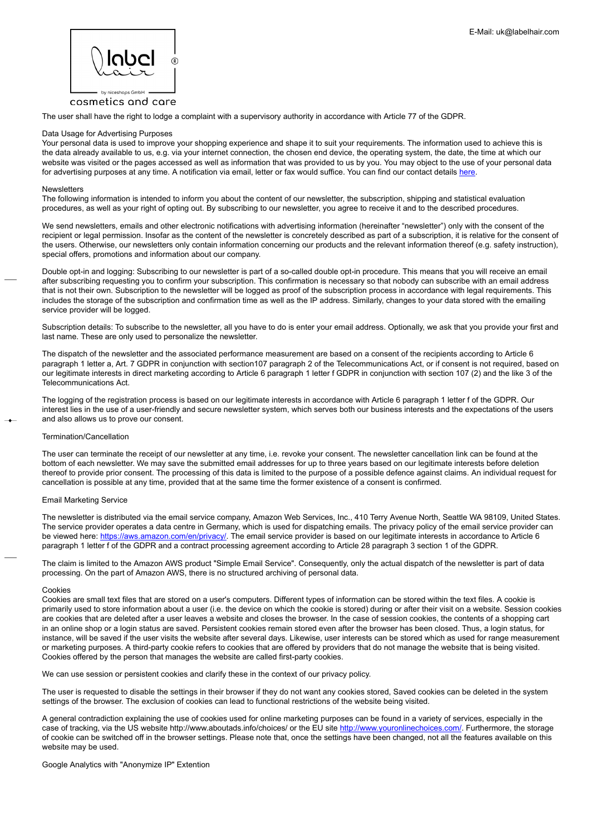

The user shall have the right to lodge a complaint with a supervisory authority in accordance with Article 77 of the GDPR.

## Data Usage for Advertising Purposes

Your personal data is used to improve your shopping experience and shape it to suit your requirements. The information used to achieve this is the data already available to us, e.g. via your internet connection, the chosen end device, the operating system, the date, the time at which our website was visited or the pages accessed as well as information that was provided to us by you. You may object to the use of your personal data for advertising purposes at any time. A notification via email, letter or fax would suffice. You can find our contact details [here](http://https://www.labelhair.at/info/kontakt).

## Newsletters

The following information is intended to inform you about the content of our newsletter, the subscription, shipping and statistical evaluation procedures, as well as your right of opting out. By subscribing to our newsletter, you agree to receive it and to the described procedures.

We send newsletters, emails and other electronic notifications with advertising information (hereinafter "newsletter") only with the consent of the recipient or legal permission. Insofar as the content of the newsletter is concretely described as part of a subscription, it is relative for the consent of the users. Otherwise, our newsletters only contain information concerning our products and the relevant information thereof (e.g. safety instruction), special offers, promotions and information about our company.

Double opt-in and logging: Subscribing to our newsletter is part of a so-called double opt-in procedure. This means that you will receive an email after subscribing requesting you to confirm your subscription. This confirmation is necessary so that nobody can subscribe with an email address that is not their own. Subscription to the newsletter will be logged as proof of the subscription process in accordance with legal requirements. This includes the storage of the subscription and confirmation time as well as the IP address. Similarly, changes to your data stored with the emailing service provider will be logged.

Subscription details: To subscribe to the newsletter, all you have to do is enter your email address. Optionally, we ask that you provide your first and last name. These are only used to personalize the newsletter.

The dispatch of the newsletter and the associated performance measurement are based on a consent of the recipients according to Article 6 paragraph 1 letter a, Art. 7 GDPR in conjunction with section107 paragraph 2 of the Telecommunications Act, or if consent is not required, based on our legitimate interests in direct marketing according to Article 6 paragraph 1 letter f GDPR in conjunction with section 107 (2) and the like 3 of the Telecommunications Act.

The logging of the registration process is based on our legitimate interests in accordance with Article 6 paragraph 1 letter f of the GDPR. Our interest lies in the use of a user-friendly and secure newsletter system, which serves both our business interests and the expectations of the users and also allows us to prove our consent.

## Termination/Cancellation

The user can terminate the receipt of our newsletter at any time, i.e. revoke your consent. The newsletter cancellation link can be found at the bottom of each newsletter. We may save the submitted email addresses for up to three years based on our legitimate interests before deletion thereof to provide prior consent. The processing of this data is limited to the purpose of a possible defence against claims. An individual request for cancellation is possible at any time, provided that at the same time the former existence of a consent is confirmed.

## Email Marketing Service

The newsletter is distributed via the email service company, Amazon Web Services, Inc., 410 Terry Avenue North, Seattle WA 98109, United States. The service provider operates a data centre in Germany, which is used for dispatching emails. The privacy policy of the email service provider can be viewed here: [https://aws.amazon.com/en/privacy/](https://aws.amazon.com/privacy/?nc1=h_ls). The email service provider is based on our legitimate interests in accordance to Article 6 paragraph 1 letter f of the GDPR and a contract processing agreement according to Article 28 paragraph 3 section 1 of the GDPR.

The claim is limited to the Amazon AWS product "Simple Email Service". Consequently, only the actual dispatch of the newsletter is part of data processing. On the part of Amazon AWS, there is no structured archiving of personal data.

## Cookies

Cookies are small text files that are stored on a user's computers. Different types of information can be stored within the text files. A cookie is primarily used to store information about a user (i.e. the device on which the cookie is stored) during or after their visit on a website. Session cookies are cookies that are deleted after a user leaves a website and closes the browser. In the case of session cookies, the contents of a shopping cart in an online shop or a login status are saved. Persistent cookies remain stored even after the browser has been closed. Thus, a login status, for instance, will be saved if the user visits the website after several days. Likewise, user interests can be stored which as used for range measurement or marketing purposes. A third-party cookie refers to cookies that are offered by providers that do not manage the website that is being visited. Cookies offered by the person that manages the website are called first-party cookies.

We can use session or persistent cookies and clarify these in the context of our privacy policy.

The user is requested to disable the settings in their browser if they do not want any cookies stored, Saved cookies can be deleted in the system settings of the browser. The exclusion of cookies can lead to functional restrictions of the website being visited.

A general contradiction explaining the use of cookies used for online marketing purposes can be found in a variety of services, especially in the case of tracking, via the US website http://www.aboutads.info/choices/ or the EU site [http://www.youronlinechoices.com/](https://www.youronlinechoices.com/). Furthermore, the storage of cookie can be switched off in the browser settings. Please note that, once the settings have been changed, not all the features available on this website may be used.

Google Analytics with "Anonymize IP" Extention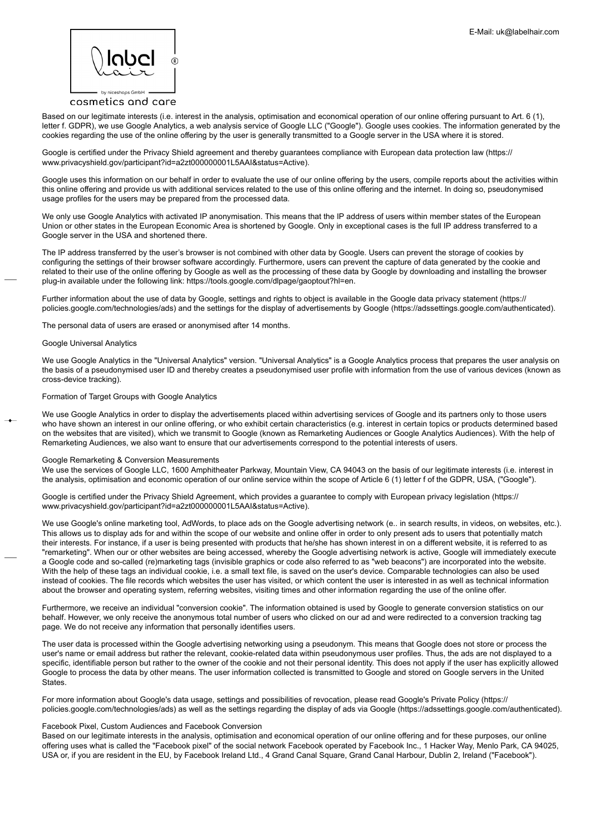

Based on our legitimate interests (i.e. interest in the analysis, optimisation and economical operation of our online offering pursuant to Art. 6 (1), letter f. GDPR), we use Google Analytics, a web analysis service of Google LLC ("Google"). Google uses cookies. The information generated by the cookies regarding the use of the online offering by the user is generally transmitted to a Google server in the USA where it is stored.

Google is certified under the Privacy Shield agreement and thereby guarantees compliance with European data protection law (https:// www.privacyshield.gov/participant?id=a2zt000000001L5AAI&status=Active).

Google uses this information on our behalf in order to evaluate the use of our online offering by the users, compile reports about the activities within this online offering and provide us with additional services related to the use of this online offering and the internet. In doing so, pseudonymised usage profiles for the users may be prepared from the processed data.

We only use Google Analytics with activated IP anonymisation. This means that the IP address of users within member states of the European Union or other states in the European Economic Area is shortened by Google. Only in exceptional cases is the full IP address transferred to a Google server in the USA and shortened there.

The IP address transferred by the user's browser is not combined with other data by Google. Users can prevent the storage of cookies by configuring the settings of their browser software accordingly. Furthermore, users can prevent the capture of data generated by the cookie and related to their use of the online offering by Google as well as the processing of these data by Google by downloading and installing the browser plug-in available under the following link: https://tools.google.com/dlpage/gaoptout?hl=en.

Further information about the use of data by Google, settings and rights to object is available in the Google data privacy statement (https:// policies.google.com/technologies/ads) and the settings for the display of advertisements by Google (https://adssettings.google.com/authenticated).

The personal data of users are erased or anonymised after 14 months.

## Google Universal Analytics

We use Google Analytics in the "Universal Analytics" version. "Universal Analytics" is a Google Analytics process that prepares the user analysis on the basis of a pseudonymised user ID and thereby creates a pseudonymised user profile with information from the use of various devices (known as cross-device tracking).

## Formation of Target Groups with Google Analytics

We use Google Analytics in order to display the advertisements placed within advertising services of Google and its partners only to those users who have shown an interest in our online offering, or who exhibit certain characteristics (e.g. interest in certain topics or products determined based on the websites that are visited), which we transmit to Google (known as Remarketing Audiences or Google Analytics Audiences). With the help of Remarketing Audiences, we also want to ensure that our advertisements correspond to the potential interests of users.

## Google Remarketing & Conversion Measurements

We use the services of Google LLC, 1600 Amphitheater Parkway, Mountain View, CA 94043 on the basis of our legitimate interests (i.e. interest in the analysis, optimisation and economic operation of our online service within the scope of Article 6 (1) letter f of the GDPR, USA, ("Google").

Google is certified under the Privacy Shield Agreement, which provides a guarantee to comply with European privacy legislation (https:// www.privacyshield.gov/participant?id=a2zt000000001L5AAI&status=Active).

We use Google's online marketing tool, AdWords, to place ads on the Google advertising network (e.. in search results, in videos, on websites, etc.). This allows us to display ads for and within the scope of our website and online offer in order to only present ads to users that potentially match their interests. For instance, if a user is being presented with products that he/she has shown interest in on a different website, it is referred to as "remarketing". When our or other websites are being accessed, whereby the Google advertising network is active, Google will immediately execute a Google code and so-called (re)marketing tags (invisible graphics or code also referred to as "web beacons") are incorporated into the website. With the help of these tags an individual cookie, i.e. a small text file, is saved on the user's device. Comparable technologies can also be used instead of cookies. The file records which websites the user has visited, or which content the user is interested in as well as technical information about the browser and operating system, referring websites, visiting times and other information regarding the use of the online offer.

Furthermore, we receive an individual "conversion cookie". The information obtained is used by Google to generate conversion statistics on our behalf. However, we only receive the anonymous total number of users who clicked on our ad and were redirected to a conversion tracking tag page. We do not receive any information that personally identifies users.

The user data is processed within the Google advertising networking using a pseudonym. This means that Google does not store or process the user's name or email address but rather the relevant, cookie-related data within pseudonymous user profiles. Thus, the ads are not displayed to a specific, identifiable person but rather to the owner of the cookie and not their personal identity. This does not apply if the user has explicitly allowed Google to process the data by other means. The user information collected is transmitted to Google and stored on Google servers in the United **States** 

For more information about Google's data usage, settings and possibilities of revocation, please read Google's Private Policy (https:// policies.google.com/technologies/ads) as well as the settings regarding the display of ads via Google (https://adssettings.google.com/authenticated).

## Facebook Pixel, Custom Audiences and Facebook Conversion

Based on our legitimate interests in the analysis, optimisation and economical operation of our online offering and for these purposes, our online offering uses what is called the "Facebook pixel" of the social network Facebook operated by Facebook Inc., 1 Hacker Way, Menlo Park, CA 94025, USA or, if you are resident in the EU, by Facebook Ireland Ltd., 4 Grand Canal Square, Grand Canal Harbour, Dublin 2, Ireland ("Facebook").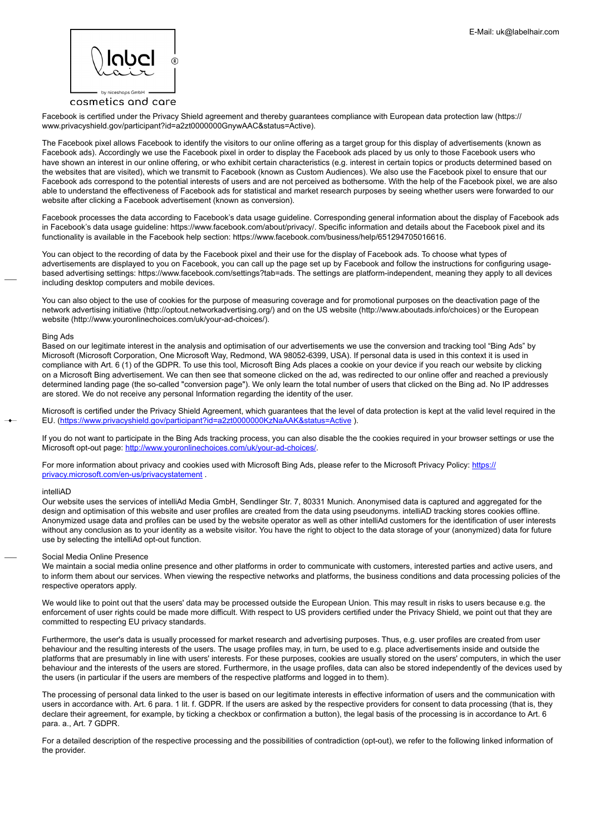

## cosmetics and care

Facebook is certified under the Privacy Shield agreement and thereby guarantees compliance with European data protection law (https:// www.privacyshield.gov/participant?id=a2zt0000000GnywAAC&status=Active).

The Facebook pixel allows Facebook to identify the visitors to our online offering as a target group for this display of advertisements (known as Facebook ads). Accordingly we use the Facebook pixel in order to display the Facebook ads placed by us only to those Facebook users who have shown an interest in our online offering, or who exhibit certain characteristics (e.g. interest in certain topics or products determined based on the websites that are visited), which we transmit to Facebook (known as Custom Audiences). We also use the Facebook pixel to ensure that our Facebook ads correspond to the potential interests of users and are not perceived as bothersome. With the help of the Facebook pixel, we are also able to understand the effectiveness of Facebook ads for statistical and market research purposes by seeing whether users were forwarded to our website after clicking a Facebook advertisement (known as conversion).

Facebook processes the data according to Facebook's data usage guideline. Corresponding general information about the display of Facebook ads in Facebook's data usage guideline: https://www.facebook.com/about/privacy/. Specific information and details about the Facebook pixel and its functionality is available in the Facebook help section: https://www.facebook.com/business/help/651294705016616.

You can object to the recording of data by the Facebook pixel and their use for the display of Facebook ads. To choose what types of advertisements are displayed to you on Facebook, you can call up the page set up by Facebook and follow the instructions for configuring usagebased advertising settings: https://www.facebook.com/settings?tab=ads. The settings are platform-independent, meaning they apply to all devices including desktop computers and mobile devices.

You can also object to the use of cookies for the purpose of measuring coverage and for promotional purposes on the deactivation page of the network advertising initiative (http://optout.networkadvertising.org/) and on the US website (http://www.aboutads.info/choices) or the European website (http://www.youronlinechoices.com/uk/your-ad-choices/).

## Bing Ads

Based on our legitimate interest in the analysis and optimisation of our advertisements we use the conversion and tracking tool "Bing Ads" by Microsoft (Microsoft Corporation, One Microsoft Way, Redmond, WA 98052-6399, USA). If personal data is used in this context it is used in compliance with Art. 6 (1) of the GDPR. To use this tool, Microsoft Bing Ads places a cookie on your device if you reach our website by clicking on a Microsoft Bing advertisement. We can then see that someone clicked on the ad, was redirected to our online offer and reached a previously determined landing page (the so-called "conversion page"). We only learn the total number of users that clicked on the Bing ad. No IP addresses are stored. We do not receive any personal Information regarding the identity of the user.

Microsoft is certified under the Privacy Shield Agreement, which guarantees that the level of data protection is kept at the valid level required in the EU. (<https://www.privacyshield.gov/participant?id=a2zt0000000KzNaAAK&status=Active> ).

If you do not want to participate in the Bing Ads tracking process, you can also disable the the cookies required in your browser settings or use the Microsoft opt-out page: [http://www.youronlinechoices.com/uk/your-ad-choices/.](http://www.youronlinechoices.com/uk/your-ad-choices/)

For more information about privacy and cookies used with Microsoft Bing Ads, please refer to the Microsoft Privacy Policy: [https://](https://privacy.microsoft.com/de-de/privacystatement) [privacy.microsoft.com/en-us/privacystatement](https://privacy.microsoft.com/de-de/privacystatement) .

## intelliAD

Our website uses the services of intelliAd Media GmbH, Sendlinger Str. 7, 80331 Munich. Anonymised data is captured and aggregated for the design and optimisation of this website and user profiles are created from the data using pseudonyms. intelliAD tracking stores cookies offline. Anonymized usage data and profiles can be used by the website operator as well as other intelliAd customers for the identification of user interests without any conclusion as to your identity as a website visitor. You have the right to object to the data storage of your (anonymized) data for future use by selecting the intelliAd opt-out function.

## Social Media Online Presence

We maintain a social media online presence and other platforms in order to communicate with customers, interested parties and active users, and to inform them about our services. When viewing the respective networks and platforms, the business conditions and data processing policies of the respective operators apply.

We would like to point out that the users' data may be processed outside the European Union. This may result in risks to users because e.g. the enforcement of user rights could be made more difficult. With respect to US providers certified under the Privacy Shield, we point out that they are committed to respecting EU privacy standards.

Furthermore, the user's data is usually processed for market research and advertising purposes. Thus, e.g. user profiles are created from user behaviour and the resulting interests of the users. The usage profiles may, in turn, be used to e.g. place advertisements inside and outside the platforms that are presumably in line with users' interests. For these purposes, cookies are usually stored on the users' computers, in which the user behaviour and the interests of the users are stored. Furthermore, in the usage profiles, data can also be stored independently of the devices used by the users (in particular if the users are members of the respective platforms and logged in to them).

The processing of personal data linked to the user is based on our legitimate interests in effective information of users and the communication with users in accordance with. Art. 6 para. 1 lit. f. GDPR. If the users are asked by the respective providers for consent to data processing (that is, they declare their agreement, for example, by ticking a checkbox or confirmation a button), the legal basis of the processing is in accordance to Art. 6 para. a., Art. 7 GDPR.

For a detailed description of the respective processing and the possibilities of contradiction (opt-out), we refer to the following linked information of the provider.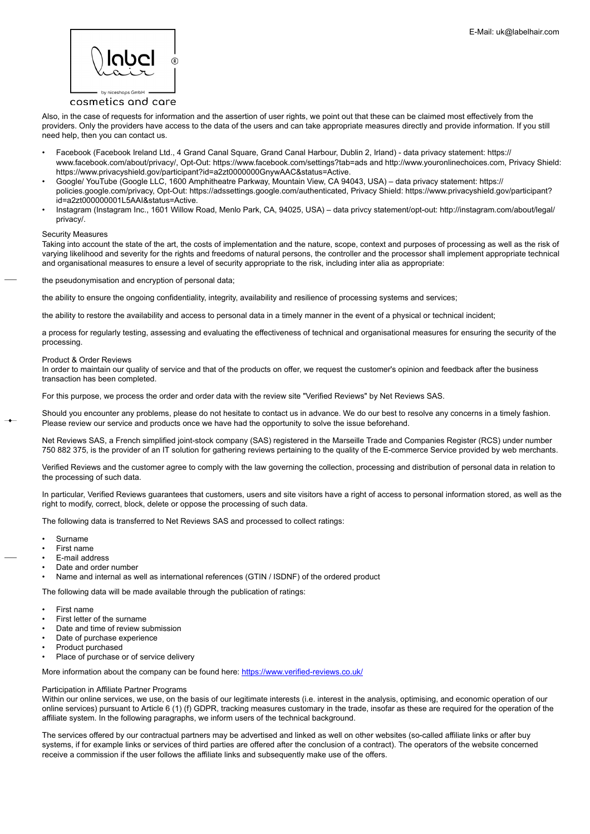## by niceshops GmbH

## cosmetics and care

Also, in the case of requests for information and the assertion of user rights, we point out that these can be claimed most effectively from the providers. Only the providers have access to the data of the users and can take appropriate measures directly and provide information. If you still need help, then you can contact us.

- Facebook (Facebook Ireland Ltd., 4 Grand Canal Square, Grand Canal Harbour, Dublin 2, Irland) data privacy statement: https:// www.facebook.com/about/privacy/, Opt-Out: https://www.facebook.com/settings?tab=ads and http://www.youronlinechoices.com, Privacy Shield: https://www.privacyshield.gov/participant?id=a2zt0000000GnywAAC&status=Active.
- Google/ YouTube (Google LLC, 1600 Amphitheatre Parkway, Mountain View, CA 94043, USA) data privacy statement: https:// policies.google.com/privacy, Opt-Out: https://adssettings.google.com/authenticated, Privacy Shield: https://www.privacyshield.gov/participant? id=a2zt000000001L5AAI&status=Active.
- Instagram (Instagram Inc., 1601 Willow Road, Menlo Park, CA, 94025, USA) data privcy statement/opt-out: http://instagram.com/about/legal/ privacy/.

## Security Measures

Taking into account the state of the art, the costs of implementation and the nature, scope, context and purposes of processing as well as the risk of varying likelihood and severity for the rights and freedoms of natural persons, the controller and the processor shall implement appropriate technical and organisational measures to ensure a level of security appropriate to the risk, including inter alia as appropriate:

the pseudonymisation and encryption of personal data;

the ability to ensure the ongoing confidentiality, integrity, availability and resilience of processing systems and services;

the ability to restore the availability and access to personal data in a timely manner in the event of a physical or technical incident;

a process for regularly testing, assessing and evaluating the effectiveness of technical and organisational measures for ensuring the security of the processing.

## Product & Order Reviews

In order to maintain our quality of service and that of the products on offer, we request the customer's opinion and feedback after the business transaction has been completed.

For this purpose, we process the order and order data with the review site "Verified Reviews" by Net Reviews SAS.

Should you encounter any problems, please do not hesitate to contact us in advance. We do our best to resolve any concerns in a timely fashion. Please review our service and products once we have had the opportunity to solve the issue beforehand.

Net Reviews SAS, a French simplified joint-stock company (SAS) registered in the Marseille Trade and Companies Register (RCS) under number 750 882 375, is the provider of an IT solution for gathering reviews pertaining to the quality of the E-commerce Service provided by web merchants.

Verified Reviews and the customer agree to comply with the law governing the collection, processing and distribution of personal data in relation to the processing of such data.

In particular, Verified Reviews guarantees that customers, users and site visitors have a right of access to personal information stored, as well as the right to modify, correct, block, delete or oppose the processing of such data.

The following data is transferred to Net Reviews SAS and processed to collect ratings:

- Surname
- First name
- E-mail address
- Date and order number
- Name and internal as well as international references (GTIN / ISDNF) of the ordered product

The following data will be made available through the publication of ratings:

- First name
- First letter of the surname
- Date and time of review submission
- Date of purchase experience
- Product purchased
- Place of purchase or of service delivery

More information about the company can be found here: <https://www.verified-reviews.co.uk/>

## Participation in Affiliate Partner Programs

Within our online services, we use, on the basis of our legitimate interests (i.e. interest in the analysis, optimising, and economic operation of our online services) pursuant to Article 6 (1) (f) GDPR, tracking measures customary in the trade, insofar as these are required for the operation of the affiliate system. In the following paragraphs, we inform users of the technical background.

The services offered by our contractual partners may be advertised and linked as well on other websites (so-called affiliate links or after buy systems, if for example links or services of third parties are offered after the conclusion of a contract). The operators of the website concerned receive a commission if the user follows the affiliate links and subsequently make use of the offers.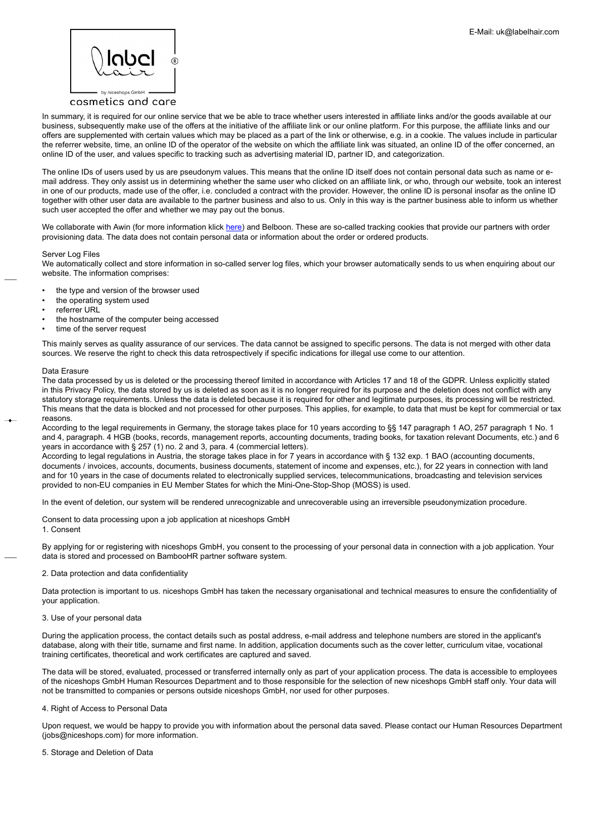

## cosmetics and care

In summary, it is required for our online service that we be able to trace whether users interested in affiliate links and/or the goods available at our business, subsequently make use of the offers at the initiative of the affiliate link or our online platform. For this purpose, the affiliate links and our offers are supplemented with certain values which may be placed as a part of the link or otherwise, e.g. in a cookie. The values include in particular the referrer website, time, an online ID of the operator of the website on which the affiliate link was situated, an online ID of the offer concerned, an online ID of the user, and values specific to tracking such as advertising material ID, partner ID, and categorization.

The online IDs of users used by us are pseudonym values. This means that the online ID itself does not contain personal data such as name or email address. They only assist us in determining whether the same user who clicked on an affiliate link, or who, through our website, took an interest in one of our products, made use of the offer, i.e. concluded a contract with the provider. However, the online ID is personal insofar as the online ID together with other user data are available to the partner business and also to us. Only in this way is the partner business able to inform us whether such user accepted the offer and whether we may pay out the bonus.

We collaborate with Awin (for more information klick [here\)](#page-0-0) and Belboon. These are so-called tracking cookies that provide our partners with order provisioning data. The data does not contain personal data or information about the order or ordered products.

## Server Log Files

We automatically collect and store information in so-called server log files, which your browser automatically sends to us when enquiring about our website. The information comprises:

- the type and version of the browser used
- the operating system used
- referrer URL
- the hostname of the computer being accessed
- time of the server request

This mainly serves as quality assurance of our services. The data cannot be assigned to specific persons. The data is not merged with other data sources. We reserve the right to check this data retrospectively if specific indications for illegal use come to our attention.

## Data Erasure

The data processed by us is deleted or the processing thereof limited in accordance with Articles 17 and 18 of the GDPR. Unless explicitly stated in this Privacy Policy, the data stored by us is deleted as soon as it is no longer required for its purpose and the deletion does not conflict with any statutory storage requirements. Unless the data is deleted because it is required for other and legitimate purposes, its processing will be restricted. This means that the data is blocked and not processed for other purposes. This applies, for example, to data that must be kept for commercial or tax reasons.

According to the legal requirements in Germany, the storage takes place for 10 years according to §§ 147 paragraph 1 AO, 257 paragraph 1 No. 1 and 4, paragraph. 4 HGB (books, records, management reports, accounting documents, trading books, for taxation relevant Documents, etc.) and 6 years in accordance with § 257 (1) no. 2 and 3, para. 4 (commercial letters).

According to legal regulations in Austria, the storage takes place in for 7 years in accordance with § 132 exp. 1 BAO (accounting documents, documents / invoices, accounts, documents, business documents, statement of income and expenses, etc.), for 22 years in connection with land and for 10 years in the case of documents related to electronically supplied services, telecommunications, broadcasting and television services provided to non-EU companies in EU Member States for which the Mini-One-Stop-Shop (MOSS) is used.

In the event of deletion, our system will be rendered unrecognizable and unrecoverable using an irreversible pseudonymization procedure.

Consent to data processing upon a job application at niceshops GmbH

1. Consent

By applying for or registering with niceshops GmbH, you consent to the processing of your personal data in connection with a job application. Your data is stored and processed on BambooHR partner software system.

## 2. Data protection and data confidentiality

Data protection is important to us. niceshops GmbH has taken the necessary organisational and technical measures to ensure the confidentiality of your application.

## 3. Use of your personal data

During the application process, the contact details such as postal address, e-mail address and telephone numbers are stored in the applicant's database, along with their title, surname and first name. In addition, application documents such as the cover letter, curriculum vitae, vocational training certificates, theoretical and work certificates are captured and saved.

The data will be stored, evaluated, processed or transferred internally only as part of your application process. The data is accessible to employees of the niceshops GmbH Human Resources Department and to those responsible for the selection of new niceshops GmbH staff only. Your data will not be transmitted to companies or persons outside niceshops GmbH, nor used for other purposes.

## 4. Right of Access to Personal Data

Upon request, we would be happy to provide you with information about the personal data saved. Please contact our Human Resources Department (jobs@niceshops.com) for more information.

## 5. Storage and Deletion of Data